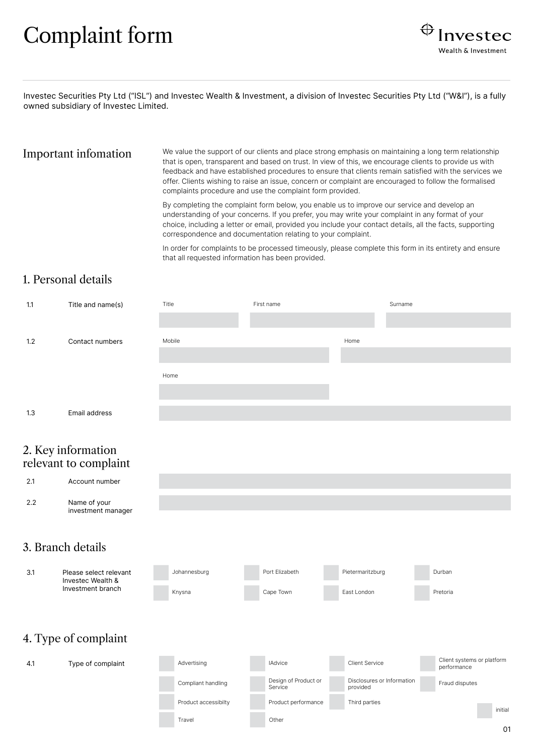# Complaint form



Investec Securities Pty Ltd ("ISL") and Investec Wealth & Investment, a division of Investec Securities Pty Ltd ("W&I"), is a fully owned subsidiary of Investec Limited.

Important infomation We value the support of our clients and place strong emphasis on maintaining a long term relationship that is open, transparent and based on trust. In view of this, we encourage clients to provide us with feedback and have established procedures to ensure that clients remain satisfied with the services we offer. Clients wishing to raise an issue, concern or complaint are encouraged to follow the formalised complaints procedure and use the complaint form provided.

> By completing the complaint form below, you enable us to improve our service and develop an understanding of your concerns. If you prefer, you may write your complaint in any format of your choice, including a letter or email, provided you include your contact details, all the facts, supporting correspondence and documentation relating to your complaint.

In order for complaints to be processed timeously, please complete this form in its entirety and ensure that all requested information has been provided.

#### 1. Personal details

| 1.1 | Title and name(s) | Title  | First name |      | Surname |
|-----|-------------------|--------|------------|------|---------|
|     |                   |        |            |      |         |
| 1.2 | Contact numbers   | Mobile |            | Home |         |
|     |                   |        |            |      |         |
|     |                   | Home   |            |      |         |
|     |                   |        |            |      |         |
| 1.3 | Email address     |        |            |      |         |

#### 2. Key information relevant to complaint



Johannesburg Port Elizabeth Pietermaritzburg Durban

#### 3. Branch details

3.1 Please select relevant

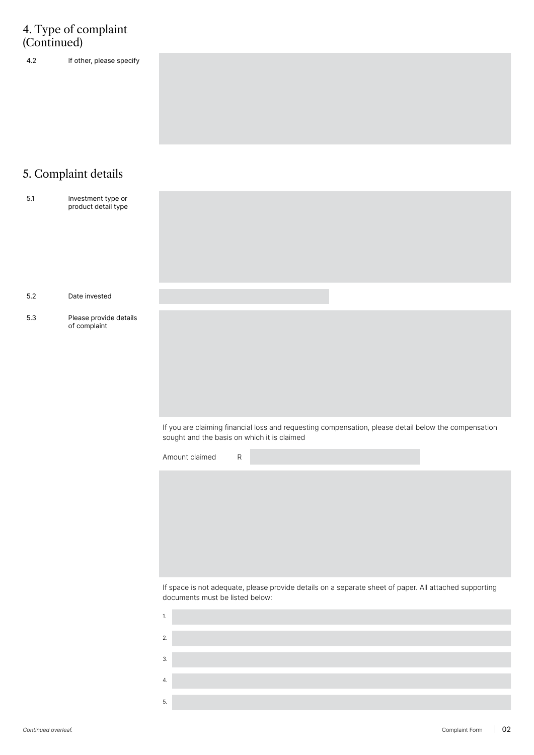### 4. Type of complaint (Continued)

4.2 If other, please specify

## 5. Complaint details

| $5.1\,$ | Investment type or<br>product detail type |                                                                                                                                                     |
|---------|-------------------------------------------|-----------------------------------------------------------------------------------------------------------------------------------------------------|
| 5.2     | Date invested                             |                                                                                                                                                     |
| 5.3     | Please provide details<br>of complaint    |                                                                                                                                                     |
|         |                                           | If you are claiming financial loss and requesting compensation, please detail below the compensation<br>sought and the basis on which it is claimed |
|         |                                           | ${\sf R}$<br>Amount claimed                                                                                                                         |
|         |                                           |                                                                                                                                                     |
|         |                                           | If space is not adequate, please provide details on a separate sheet of paper. All attached supporting<br>documents must be listed below:           |
|         |                                           | $\mathbf{1}$                                                                                                                                        |
|         |                                           | $2.$                                                                                                                                                |
|         |                                           | $\mathfrak{Z}.$                                                                                                                                     |
|         |                                           | 4.                                                                                                                                                  |
|         |                                           | 5.                                                                                                                                                  |